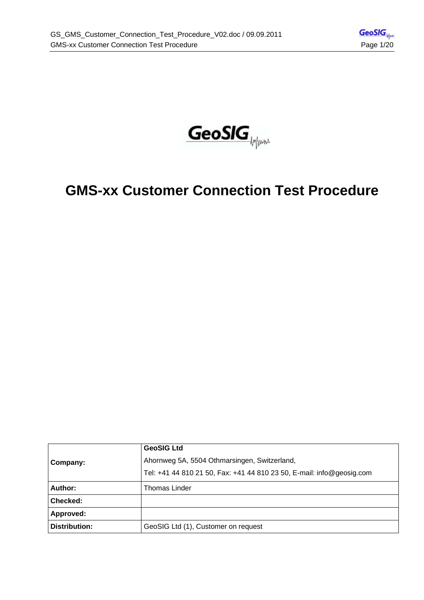

# **GMS-xx Customer Connection Test Procedure**

|               | <b>GeoSIG Ltd</b>                                                     |  |  |
|---------------|-----------------------------------------------------------------------|--|--|
| Company:      | Ahornweg 5A, 5504 Othmarsingen, Switzerland,                          |  |  |
|               | Tel: +41 44 810 21 50, Fax: +41 44 810 23 50, E-mail: info@geosig.com |  |  |
| Author:       | Thomas Linder                                                         |  |  |
| Checked:      |                                                                       |  |  |
| Approved:     |                                                                       |  |  |
| Distribution: | GeoSIG Ltd (1), Customer on request                                   |  |  |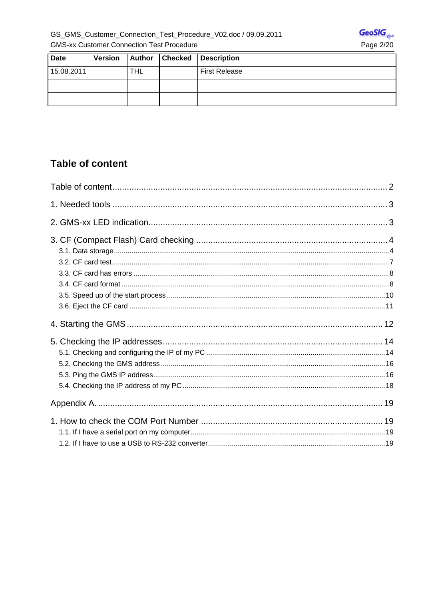

| <b>Date</b> | <b>Version</b> |            | <b>Author Checked</b> | Description          |
|-------------|----------------|------------|-----------------------|----------------------|
| 15.08.2011  |                | <b>THL</b> |                       | <b>First Release</b> |
|             |                |            |                       |                      |
|             |                |            |                       |                      |

# **Table of content**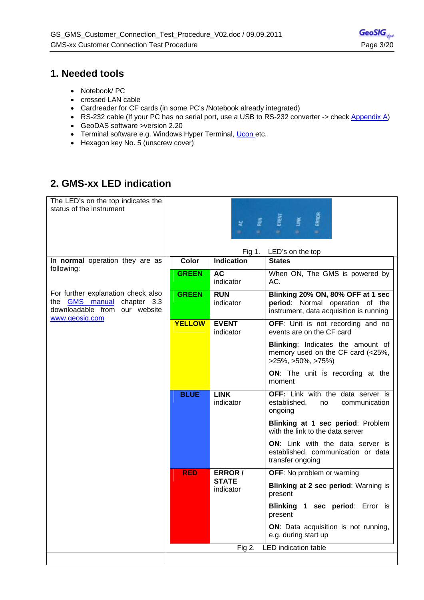## **1. Needed tools**

- Notebook/ PC
- crossed LAN cable
- Cardreader for CF cards (in some PC's /Notebook already integrated)
- RS-232 cable (If your PC has no serial port, use a USB to RS-232 converter -> check Appendix A)
- GeoDAS software >version 2.20
- Terminal software e.g. Windows Hyper Terminal, Ucon etc.
- Hexagon key No. 5 (unscrew cover)

# **2. GMS-xx LED indication**

| The LED's on the top indicates the<br>status of the instrument                                                             | <b>SRADE</b><br>Evekn<br>某<br>œ.<br>٠ |                           |                                                                                                                 |
|----------------------------------------------------------------------------------------------------------------------------|---------------------------------------|---------------------------|-----------------------------------------------------------------------------------------------------------------|
|                                                                                                                            |                                       | Fig 1.                    | LED's on the top                                                                                                |
| In <b>normal</b> operation they are as<br>following:                                                                       | <b>Color</b>                          | <b>Indication</b>         | <b>States</b>                                                                                                   |
|                                                                                                                            | <b>GREEN</b>                          | <b>AC</b><br>indicator    | When ON, The GMS is powered by<br>AC.                                                                           |
| For further explanation check also<br>the <b>GMS</b> manual chapter 3.3<br>downloadable from our website<br>www.geosig.com | <b>GREEN</b>                          | <b>RUN</b><br>indicator   | Blinking 20% ON, 80% OFF at 1 sec<br>period: Normal operation of the<br>instrument, data acquisition is running |
|                                                                                                                            | <b>YELLOW</b>                         | <b>EVENT</b><br>indicator | OFF: Unit is not recording and no<br>events are on the CF card                                                  |
|                                                                                                                            |                                       |                           | Blinking: Indicates the amount of<br>memory used on the CF card (<25%,<br>$>25\%, >50\%, >75\%)$                |
|                                                                                                                            |                                       |                           | ON: The unit is recording at the<br>moment                                                                      |
|                                                                                                                            | <b>BLUE</b>                           | <b>LINK</b><br>indicator  | OFF: Link with the data server is<br>established,<br>communication<br>no<br>ongoing                             |
|                                                                                                                            |                                       |                           | Blinking at 1 sec period: Problem<br>with the link to the data server                                           |
|                                                                                                                            |                                       |                           | <b>ON:</b> Link with the data server is<br>established, communication or data<br>transfer ongoing               |
|                                                                                                                            | <b>RED</b>                            | ERROR /                   | OFF: No problem or warning                                                                                      |
|                                                                                                                            |                                       | <b>STATE</b><br>indicator | Blinking at 2 sec period: Warning is<br>present                                                                 |
|                                                                                                                            |                                       |                           | Blinking 1 sec period: Error is<br>present                                                                      |
|                                                                                                                            |                                       |                           | ON: Data acquisition is not running,<br>e.g. during start up                                                    |
|                                                                                                                            |                                       | Fig 2.                    | <b>LED</b> indication table                                                                                     |
|                                                                                                                            |                                       |                           |                                                                                                                 |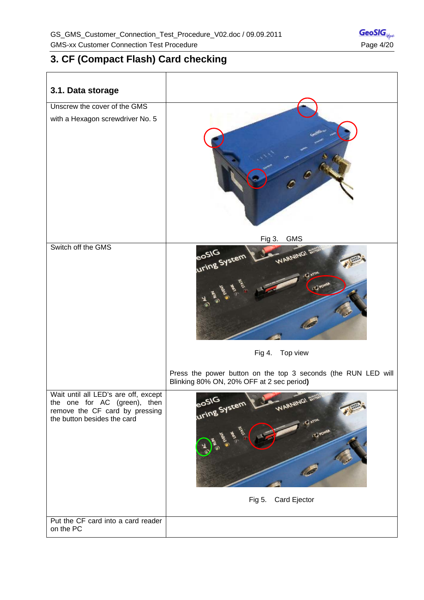# **3. CF (Compact Flash) Card checking**

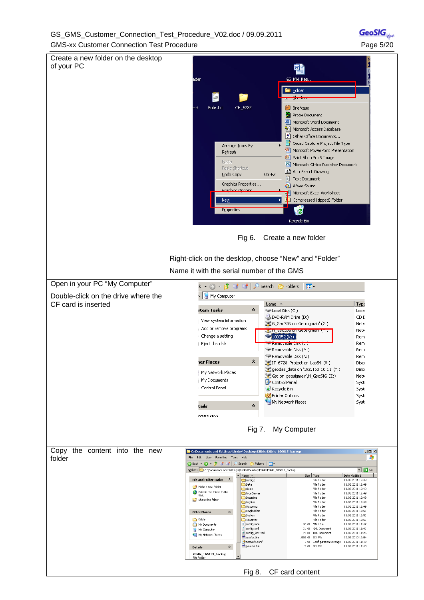#### GS\_GMS\_Customer\_Connection\_Test\_Procedure\_V02.doc / 09.09.2011 GMS-xx Customer Connection Test Procedure **Page 19th Connection** Test Procedure Page 5/20

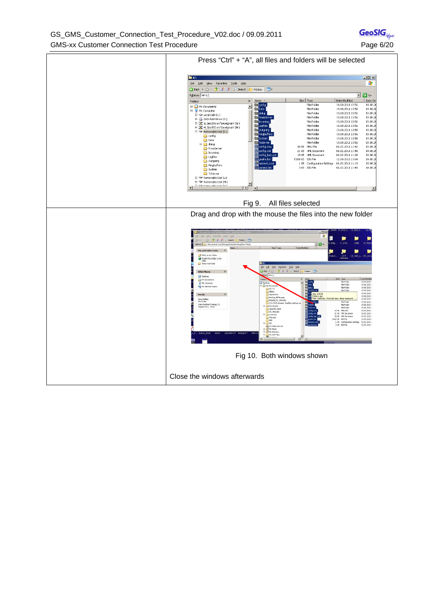GS\_GMS\_Customer\_Connection\_Test\_Procedure\_V02.doc / 09.09.2011 GMS-xx Customer Connection Test Procedure **Page 6/20** Page 6/20



GeoSIG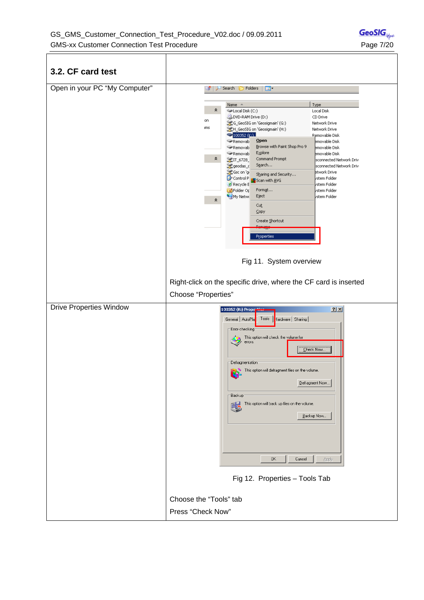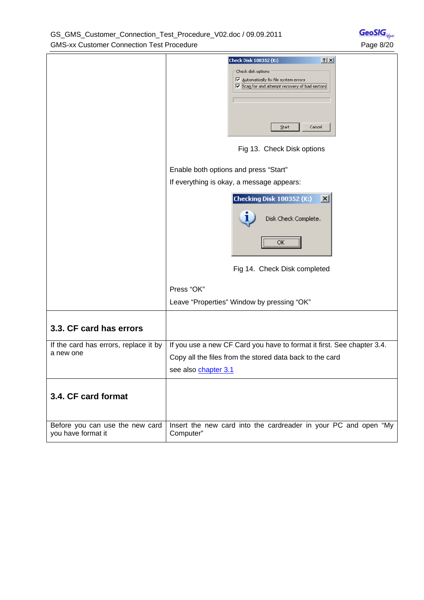GS\_GMS\_Customer\_Connection\_Test\_Procedure\_V02.doc / 09.09.2011 GMS-xx Customer Connection Test Procedure **Page 8/20** Page 8/20

|                                                       | $2 \times$<br><b>Check Disk 100352 (K:)</b><br>Check disk options<br>$\nabla$ Automatically fix file system errors<br>↓ Scan for and attempt recovery of bad sectors<br>Start<br>Cancel<br>Fig 13. Check Disk options |
|-------------------------------------------------------|-----------------------------------------------------------------------------------------------------------------------------------------------------------------------------------------------------------------------|
|                                                       | Enable both options and press "Start"                                                                                                                                                                                 |
|                                                       | If everything is okay, a message appears:                                                                                                                                                                             |
|                                                       | Checking Disk 100352 (K:)<br>$\vert x \vert$<br>1<br>Disk Check Complete.<br><br>ок<br>Fig 14. Check Disk completed<br>Press "OK"<br>Leave "Properties" Window by pressing "OK"                                       |
|                                                       |                                                                                                                                                                                                                       |
| 3.3. CF card has errors                               |                                                                                                                                                                                                                       |
| If the card has errors, replace it by<br>a new one    | If you use a new CF Card you have to format it first. See chapter 3.4.                                                                                                                                                |
|                                                       | Copy all the files from the stored data back to the card                                                                                                                                                              |
|                                                       | see also chapter 3.1                                                                                                                                                                                                  |
| 3.4. CF card format                                   |                                                                                                                                                                                                                       |
| Before you can use the new card<br>you have format it | Insert the new card into the cardreader in your PC and open "My<br>Computer"                                                                                                                                          |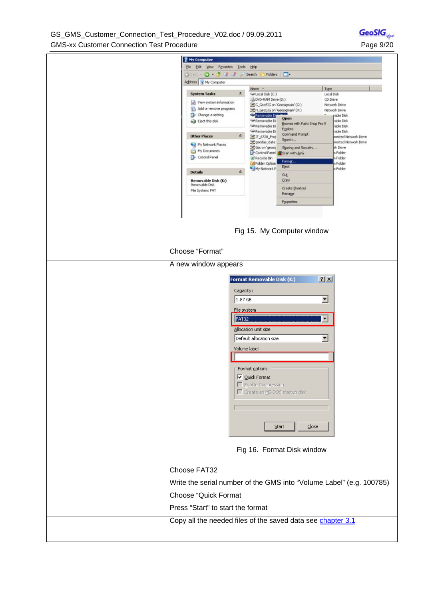| GS GMS Customer Connection Test Procedure V02.doc / 09.09.2011 |
|----------------------------------------------------------------|
| <b>GMS-xx Customer Connection Test Procedure</b>               |

| My Computer                                                                       |                                                                               |                                      |                                                                        |
|-----------------------------------------------------------------------------------|-------------------------------------------------------------------------------|--------------------------------------|------------------------------------------------------------------------|
| File Edit View Favorites Tools Help<br>③ Badi → O → O → O → <sup>→</sup> → 5earch | Folders                                                                       | <b>HEI</b>                           |                                                                        |
| Address My Computer                                                               | Name -                                                                        |                                      | Type                                                                   |
| <b>System Tasks</b><br>☆<br>View system information<br>Add or remove programs     | Girlocal Disk (C:)<br>DVD-RAM Drive (D:)<br>CG_GeoSIG on 'Geosigmain' (G:)    |                                      | Local Disk<br>CD Drive<br>Network Drive                                |
| Change a setting<br>Liect this disk                                               | H_GeoSIG on 'Geosigmain' (H:)<br>Removable Di<br>Removable Di<br>Removable Di | Open<br>Browse with Paint Shop Pro 9 | Network Drive<br>able Disk<br>able Disk<br>able Disk                   |
| <b>Other Places</b><br>絫<br>My Network Places                                     | Removable Di<br>FIT 6728 Proj<br>geodas_data                                  | Explore<br>Command Prompt<br>Search  | vable Disk<br>nected Network Drive<br>nected Network Drive<br>ek Drive |
| My Documents<br>Control Panel                                                     | Gsc on 'geosic<br>Control Panel Scan with AVG<br>Recycle Bin<br>Folder Option | Sharing and Security<br>Format       | n Folder<br>n Folder<br>h Folder                                       |
| $\hat{\mathbf{x}}$<br><b>Details</b>                                              | My Network P                                                                  | Eject<br>Cut                         | h Folder                                                               |
| Removable Disk (K:)<br>Removable Disk<br>File System: FAT                         |                                                                               | Copy<br>Create Shortcut<br>Rename    |                                                                        |
|                                                                                   |                                                                               | Properties                           |                                                                        |
|                                                                                   |                                                                               | Fig 15. My Computer window           |                                                                        |
| Choose "Format"                                                                   |                                                                               |                                      |                                                                        |
| A new window appears                                                              |                                                                               |                                      |                                                                        |
|                                                                                   | Format Removable Disk (K:)                                                    |                                      | $2 \times$                                                             |
| Capacity:                                                                         |                                                                               |                                      |                                                                        |
| 1.87 GB                                                                           |                                                                               |                                      | $\blacktriangledown$                                                   |
|                                                                                   | Eile system                                                                   |                                      |                                                                        |
| FAT32                                                                             |                                                                               |                                      | ▼                                                                      |
|                                                                                   | Allocation unit size                                                          |                                      | $\blacktriangledown$                                                   |
|                                                                                   | Default allocation size<br>Volume label                                       |                                      |                                                                        |
|                                                                                   |                                                                               |                                      |                                                                        |
|                                                                                   | Format options                                                                |                                      |                                                                        |
|                                                                                   | $\nabla$ Quick Format                                                         |                                      |                                                                        |
|                                                                                   | Enable Compression<br>Create an M5-DO5 startup disk                           |                                      |                                                                        |
|                                                                                   |                                                                               |                                      |                                                                        |
|                                                                                   |                                                                               |                                      |                                                                        |
|                                                                                   |                                                                               | $\subseteq$ lose<br>Start            |                                                                        |
|                                                                                   |                                                                               | Fig 16. Format Disk window           |                                                                        |
| Choose FAT32                                                                      |                                                                               |                                      |                                                                        |
| Write the serial number of the GMS into "Volume Label" (e.g. 100785)              |                                                                               |                                      |                                                                        |
| <b>Choose "Quick Format</b>                                                       |                                                                               |                                      |                                                                        |
| Press "Start" to start the format                                                 |                                                                               |                                      |                                                                        |
| Copy all the needed files of the saved data see chapter 3.1                       |                                                                               |                                      |                                                                        |
|                                                                                   |                                                                               |                                      |                                                                        |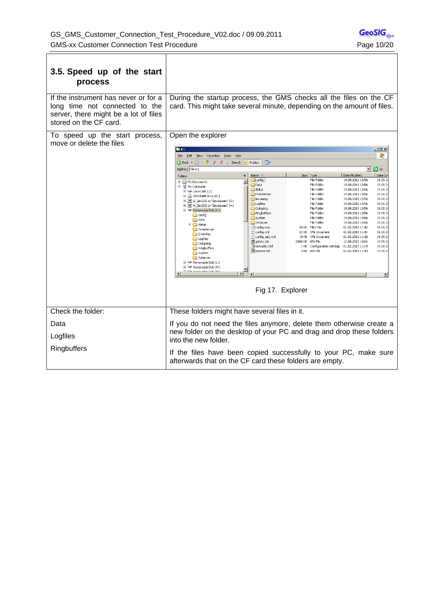| 3.5. Speed up of the start<br>process                                                                                                     |                                                                                                                                                                                                                                                                                                                                                                                                                                                                                                                                                                                                                                                                                                                                           |                                                                                                                                                                                                                                                                                                                                                                                                                                                                                                                                                                                                                                                                                                                                                                                                                 |  |  |
|-------------------------------------------------------------------------------------------------------------------------------------------|-------------------------------------------------------------------------------------------------------------------------------------------------------------------------------------------------------------------------------------------------------------------------------------------------------------------------------------------------------------------------------------------------------------------------------------------------------------------------------------------------------------------------------------------------------------------------------------------------------------------------------------------------------------------------------------------------------------------------------------------|-----------------------------------------------------------------------------------------------------------------------------------------------------------------------------------------------------------------------------------------------------------------------------------------------------------------------------------------------------------------------------------------------------------------------------------------------------------------------------------------------------------------------------------------------------------------------------------------------------------------------------------------------------------------------------------------------------------------------------------------------------------------------------------------------------------------|--|--|
| If the instrument has never or for a<br>long time not connected to the<br>server, there might be a lot of files<br>stored on the CF card. | During the startup process, the GMS checks all the files on the CF<br>card. This might take several minute, depending on the amount of files.                                                                                                                                                                                                                                                                                                                                                                                                                                                                                                                                                                                             |                                                                                                                                                                                                                                                                                                                                                                                                                                                                                                                                                                                                                                                                                                                                                                                                                 |  |  |
| To speed up the start process,<br>move or delete the files                                                                                | Open the explorer<br><b>Der</b> K:\<br>File Edit View<br>Favorites<br>Tools<br>Help                                                                                                                                                                                                                                                                                                                                                                                                                                                                                                                                                                                                                                                       | $\Box$ o $\times$<br>4                                                                                                                                                                                                                                                                                                                                                                                                                                                                                                                                                                                                                                                                                                                                                                                          |  |  |
|                                                                                                                                           | G Back ▼ → → → → → → → Search<br>囲<br>Folders<br>Address $\Rightarrow$ K:\                                                                                                                                                                                                                                                                                                                                                                                                                                                                                                                                                                                                                                                                | $\rightarrow$ Go<br>$\blacktriangledown$                                                                                                                                                                                                                                                                                                                                                                                                                                                                                                                                                                                                                                                                                                                                                                        |  |  |
|                                                                                                                                           | Name -<br>Folders<br>×                                                                                                                                                                                                                                                                                                                                                                                                                                                                                                                                                                                                                                                                                                                    | Date Modified<br>Date Cri<br>Size   Type                                                                                                                                                                                                                                                                                                                                                                                                                                                                                                                                                                                                                                                                                                                                                                        |  |  |
|                                                                                                                                           | config<br>My Documents<br>Data<br>My Computer<br>dialup<br>$\boxplus$ $\cong$ Local Disk (C:)<br>FromServer<br>DVD-RAM Drive (D:)<br>Incoming<br>El SE G_GeoSIG on 'Geosigmain' (G:)<br>Logfiles<br>El SE H_GeoSIG on 'Geosigmain' (H:)<br>Outgoing<br>$\Box$ Removable Disk (K:)<br>Ringburfers<br>config<br>System<br><b>D</b> Data<br>ToServer<br>E a dialup<br>d config.mnu<br>FromServer<br>$\mathbf{r}$ config.xml<br>Incoming<br>config_last.xml<br>Logfiles<br>国 gsiafw.bin<br>Outgoing<br>network.conf<br>Ringbuffers<br>params.bin<br>System<br>ToServer<br>$\mathbb{H}$ $\blacktriangleright$ Removable Disk (L:)<br>E Removable Disk (M:)<br><b>IT IS A REPORT OF A REAL AND</b><br>$\blacktriangleright$<br>Fig 17. Explorer | File Folder<br>19.08.2011 13:56<br>19.08.2<br>File Folder<br>19.08.2011 13:56<br>19.08.2<br>File Folder<br>19.08.2011 13:56<br>19.08.2<br>File Folder<br>19.08.2011 13:56<br>19.08.2<br>File Folder<br>19.08.2011 13:56<br>19.08.2<br>File Folder<br>19.08.2011 13:56<br>19.08.2<br>File Folder<br>19.08.2011 13:56<br>19.08.2<br>19.08.2011 13:56<br>19.08.2<br>File Folder<br>File Folder<br>19.08.2011 13:56<br>19.08.2<br>19.08.2<br>File Folder<br>19.08.2011 13:56<br>40 KB MNU File<br>01.02.2011 11:42<br>19.08.2<br>01.02.2011 11:41<br>21 KB XML Document<br>19.08.2<br>19.08.2<br>19 KB XML Document<br>01.02.2011 11:26<br>1'068 KB BIN File<br>12.08.2010 13:04<br>19.08.2<br>Configuration Settings 01.02.2011 11:19<br>19.08.2<br>1 KB<br><b>BIN File</b><br>01.02.2011 11:43<br>19.08.2<br>3 KB |  |  |
| Check the folder:                                                                                                                         | These folders might have several files in it.                                                                                                                                                                                                                                                                                                                                                                                                                                                                                                                                                                                                                                                                                             |                                                                                                                                                                                                                                                                                                                                                                                                                                                                                                                                                                                                                                                                                                                                                                                                                 |  |  |
| Data<br>Logfiles                                                                                                                          | If you do not need the files anymore, delete them otherwise create a<br>new folder on the desktop of your PC and drag and drop these folders<br>into the new folder.                                                                                                                                                                                                                                                                                                                                                                                                                                                                                                                                                                      |                                                                                                                                                                                                                                                                                                                                                                                                                                                                                                                                                                                                                                                                                                                                                                                                                 |  |  |
| Ringbuffers                                                                                                                               | If the files have been copied successfully to your PC, make sure<br>afterwards that on the CF card these folders are empty.                                                                                                                                                                                                                                                                                                                                                                                                                                                                                                                                                                                                               |                                                                                                                                                                                                                                                                                                                                                                                                                                                                                                                                                                                                                                                                                                                                                                                                                 |  |  |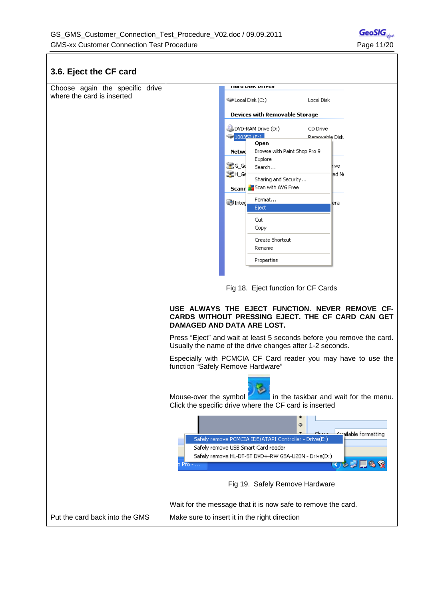$\overline{\top}$ 

 $\Gamma$ 

| 3.6. Eject the CF card                                        |                                                                                                                                                                                                                                                                                                                                                     |
|---------------------------------------------------------------|-----------------------------------------------------------------------------------------------------------------------------------------------------------------------------------------------------------------------------------------------------------------------------------------------------------------------------------------------------|
| Choose again the specific drive<br>where the card is inserted | HOLU VISA VIITES<br>Disk (C:)<br>Local Disk<br>Devices with Removable Storage                                                                                                                                                                                                                                                                       |
|                                                               | DVD-RAM Drive (D:)<br>CD Drive<br>$\bigcirc$ 100352 (FAL<br>Removable Disk<br>Open<br>Browse with Paint Shop Pro 9<br>Netwo<br>Explore<br>SC Gd<br><b>r</b> ive<br>Search<br>SLEH_Ge<br>led Ne<br>Sharing and Security<br>Scann 3 Scan with AVG Free<br>Format<br>D Integ<br>era<br>Eject<br>Cut<br>Copy<br>Create Shortcut<br>Rename<br>Properties |
|                                                               | Fig 18. Eject function for CF Cards<br>USE ALWAYS THE EJECT FUNCTION. NEVER REMOVE CF-<br>CARDS WITHOUT PRESSING EJECT. THE CF CARD CAN GET<br>DAMAGED AND DATA ARE LOST.<br>Press "Eject" and wait at least 5 seconds before you remove the card.                                                                                                  |
|                                                               | Usually the name of the drive changes after 1-2 seconds.<br>Especially with PCMCIA CF Card reader you may have to use the<br>function "Safely Remove Hardware"                                                                                                                                                                                      |
|                                                               | in the taskbar and wait for the menu.<br>Mouse-over the symbol<br>Click the specific drive where the CF card is inserted                                                                                                                                                                                                                            |
|                                                               | ۰<br>pilable formatting<br>Safely remove PCMCIA IDE/ATAPI Controller - Drive(E:)<br>Safely remove USB Smart Card reader<br>Safely remove HL-DT-ST DVD+-RW GSA-U20N - Drive(D:)<br>⊙ ⊟ ⊡ ©<br>Pro -<br>Fig 19. Safely Remove Hardware                                                                                                                |
|                                                               | Wait for the message that it is now safe to remove the card.                                                                                                                                                                                                                                                                                        |
| Put the card back into the GMS                                | Make sure to insert it in the right direction                                                                                                                                                                                                                                                                                                       |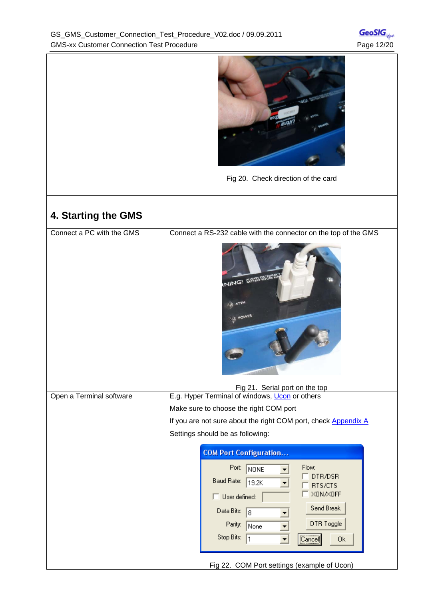|                           | Fig 20. Check direction of the card                                                                                                                                                                                                                                                                                                                                              |
|---------------------------|----------------------------------------------------------------------------------------------------------------------------------------------------------------------------------------------------------------------------------------------------------------------------------------------------------------------------------------------------------------------------------|
| 4. Starting the GMS       |                                                                                                                                                                                                                                                                                                                                                                                  |
| Connect a PC with the GMS | Connect a RS-232 cable with the connector on the top of the GMS<br>WING! SHARPSHORE<br>ATTN<br><b>POWER</b><br>Fig 21. Serial port on the top                                                                                                                                                                                                                                    |
| Open a Terminal software  | E.g. Hyper Terminal of windows, Ucon or others<br>Make sure to choose the right COM port<br>If you are not sure about the right COM port, check Appendix A<br>Settings should be as following:<br><b>COM Port Configuration</b><br>Flow:<br>Port: NONE<br>DTR/DSR<br>Baud Rate:<br>19.2K<br>RTS/CTS<br>XON/XOFF<br>$\Box$ User defined:<br>Send Break<br>Data Bits:<br>$\vert$ 8 |
|                           | DTR Toggle<br>Parity:<br>None<br>Stop Bits:<br>[Cancel]<br>0k<br>11<br>Fig 22. COM Port settings (example of Ucon)                                                                                                                                                                                                                                                               |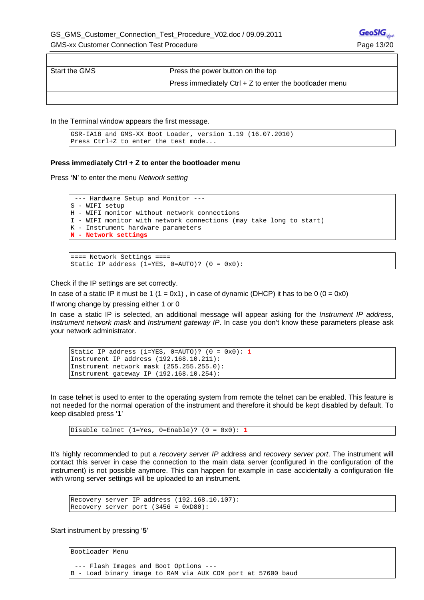| Start the GMS | Press the power button on the top                         |  |
|---------------|-----------------------------------------------------------|--|
|               | Press immediately Ctrl $+$ Z to enter the bootloader menu |  |
|               |                                                           |  |

In the Terminal window appears the first message.

```
GSR-IA18 and GMS-XX Boot Loader, version 1.19 (16.07.2010) 
Press Ctrl+Z to enter the test mode...
```
#### **Press immediately Ctrl + Z to enter the bootloader menu**

Press '**N**' to enter the menu *Network setting*

```
 --- Hardware Setup and Monitor --- 
S - WIFI setup 
H - WIFI monitor without network connections 
I - WIFI monitor with network connections (may take long to start) 
K - Instrument hardware parameters 
N - Network settings
```

```
==== Network Settings ==== 
Static IP address (1=YES, 0=AUTO)? (0 = 0x0):
```
Check if the IP settings are set correctly.

In case of a static IP it must be 1 ( $1 = 0x1$ ), in case of dynamic (DHCP) it has to be 0 ( $0 = 0x0$ )

If wrong change by pressing either 1 or 0

In case a static IP is selected, an additional message will appear asking for the *Instrument IP address*, *Instrument network mask* and *Instrument gateway IP*. In case you don't know these parameters please ask your network administrator.

```
Static IP address (1=YES, 0=AUTO)? (0 = 0x0): 1 
Instrument IP address (192.168.10.211): 
Instrument network mask (255.255.255.0): 
Instrument gateway IP (192.168.10.254):
```
In case telnet is used to enter to the operating system from remote the telnet can be enabled. This feature is not needed for the normal operation of the instrument and therefore it should be kept disabled by default. To keep disabled press '**1**'

Disable telnet (1=Yes, 0=Enable)? (0 = 0x0): **1**

It's highly recommended to put a *recovery server IP* address and *recovery server port*. The instrument will contact this server in case the connection to the main data server (configured in the configuration of the instrument) is not possible anymore. This can happen for example in case accidentally a configuration file with wrong server settings will be uploaded to an instrument.

```
Recovery server IP address (192.168.10.107): 
Recovery server port (3456 = 0xD80):
```
Start instrument by pressing '**5**'

Bootloader Menu

```
 --- Flash Images and Boot Options --- 
B - Load binary image to RAM via AUX COM port at 57600 baud
```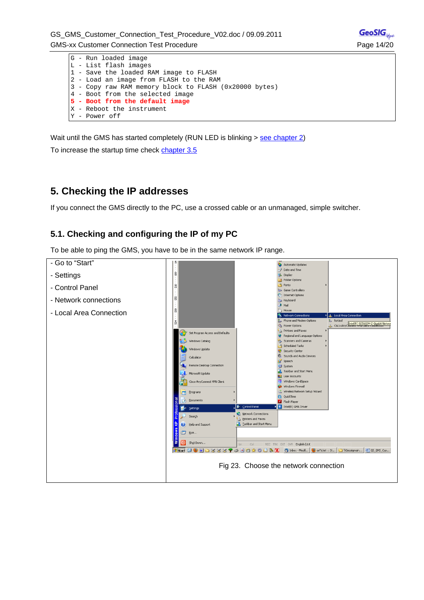

Wait until the GMS has started completely (RUN LED is blinking > see chapter 2)

To increase the startup time check chapter 3.5

# **5. Checking the IP addresses**

If you connect the GMS directly to the PC, use a crossed cable or an unmanaged, simple switcher.

## **5.1. Checking and configuring the IP of my PC**

To be able to ping the GMS, you have to be in the same network IP range.

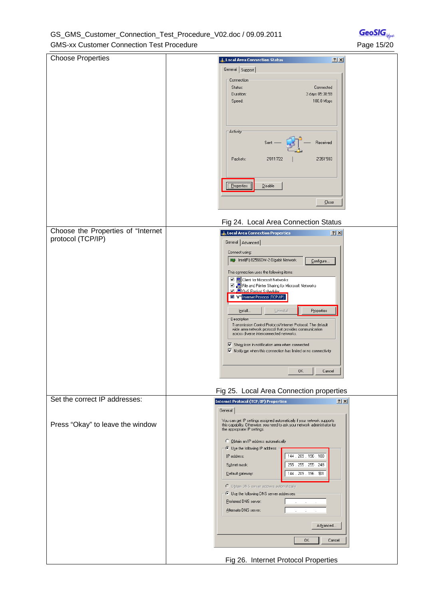#### GS\_GMS\_Customer\_Connection\_Test\_Procedure\_V02.doc / 09.09.2011 GMS-xx Customer Connection Test Procedure **Page 15/20** Page 15/20

| <b>Choose Properties</b>           | Local Area Connection Status<br>2x                                                                                                                                             |
|------------------------------------|--------------------------------------------------------------------------------------------------------------------------------------------------------------------------------|
|                                    | General Support                                                                                                                                                                |
|                                    | Connection                                                                                                                                                                     |
|                                    | Status:<br>Connected                                                                                                                                                           |
|                                    | 3 days 05:38:59<br>Duration:<br>100.0 Mbps<br>Speed:                                                                                                                           |
|                                    |                                                                                                                                                                                |
|                                    |                                                                                                                                                                                |
|                                    |                                                                                                                                                                                |
|                                    | Activity                                                                                                                                                                       |
|                                    | Sent<br>Received                                                                                                                                                               |
|                                    |                                                                                                                                                                                |
|                                    | 2'011'722<br>2'351'593<br>Packets:                                                                                                                                             |
|                                    |                                                                                                                                                                                |
|                                    |                                                                                                                                                                                |
|                                    | Properties<br>Disable                                                                                                                                                          |
|                                    | Close                                                                                                                                                                          |
|                                    |                                                                                                                                                                                |
|                                    | Fig 24. Local Area Connection Status                                                                                                                                           |
| Choose the Properties of "Internet |                                                                                                                                                                                |
| protocol (TCP/IP)                  | LL Local Area Connection Properties<br> ? X                                                                                                                                    |
|                                    | General   Advanced                                                                                                                                                             |
|                                    | Connect using:<br>■ Intel(R) 82566DM-2 Gigabit Network                                                                                                                         |
|                                    | Configure                                                                                                                                                                      |
|                                    | This connection uses the following items:                                                                                                                                      |
|                                    | □ □ Client for Microsoft Networks<br>☑ ■ File and Printer Sharing for Microsoft Networks                                                                                       |
|                                    | <b>☑ □ 0oS Packet Scheduler</b><br><b>Martini</b> Internet Protocol (TCP/IP)                                                                                                   |
|                                    |                                                                                                                                                                                |
|                                    | Properties<br>Install<br>Uninstall                                                                                                                                             |
|                                    | Description <sup>®</sup><br>Transmission Control Protocol/Internet Protocol. The default                                                                                       |
|                                    | wide area network protocol that provides communication<br>across diverse interconnected networks.                                                                              |
|                                    |                                                                                                                                                                                |
|                                    | $\overline{\blacktriangledown}$ Show icon in notification area when connected<br>$\overline{\blacktriangledown}$ Notify me when this connection has limited or no connectivity |
|                                    |                                                                                                                                                                                |
|                                    | $\overline{\phantom{a}}$ Cancel<br>OK                                                                                                                                          |
|                                    |                                                                                                                                                                                |
|                                    | Fig 25. Local Area Connection properties                                                                                                                                       |
| Set the correct IP addresses:      | 2 X <br><b>Internet Protocol (TCP/IP) Properties</b>                                                                                                                           |
|                                    | General                                                                                                                                                                        |
|                                    | You can get IP settings assigned automatically if your network supports                                                                                                        |
| Press "Okay" to leave the window   | this capability. Otherwise, you need to ask your network administrator for<br>the appropriate IP settings.                                                                     |
|                                    | C Dbtain an IP address automatically                                                                                                                                           |
|                                    | $-\bullet$ Use the following IP address:                                                                                                                                       |
|                                    | 144 . 209 . 196 . 100<br>IP address:                                                                                                                                           |
|                                    | 255 . 255 . 255 . 248<br>Subnet mask:                                                                                                                                          |
|                                    | 144 . 209 . 196 . 101<br>Default gateway:                                                                                                                                      |
|                                    | O Obtain DNS server address automatically                                                                                                                                      |
|                                    | $-\bullet$ Use the following DNS server addresses:                                                                                                                             |
|                                    | Preferred DNS server:                                                                                                                                                          |
|                                    | Alternate DNS server:                                                                                                                                                          |
|                                    | Advanced                                                                                                                                                                       |
|                                    |                                                                                                                                                                                |
|                                    | OK.<br>Cancel                                                                                                                                                                  |
|                                    |                                                                                                                                                                                |
|                                    | Fig 26. Internet Protocol Properties                                                                                                                                           |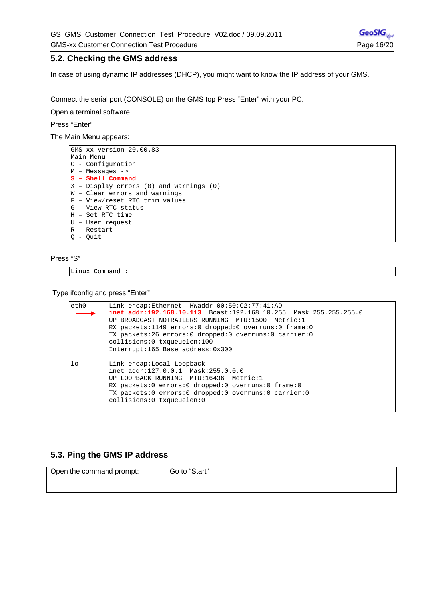#### **5.2. Checking the GMS address**

In case of using dynamic IP addresses (DHCP), you might want to know the IP address of your GMS.

Connect the serial port (CONSOLE) on the GMS top Press "Enter" with your PC.

Open a terminal software.

#### Press "Enter"

The Main Menu appears:

```
GMS-xx version 20.00.83 
Main Menu: 
C - Configuration 
M – Messages -> 
S – Shell Command 
X - Display errors (0) and warnings (0)
W – Clear errors and warnings 
F – View/reset RTC trim values 
G – View RTC status 
H – Set RTC time 
U – User request 
R – Restart 
Q - Quit
```
#### Press "S"

Linux Command :

Type ifconfig and press "Enter"

```
eth0 Link encap:Ethernet HWaddr 00:50:C2:77:41:AD 
           inet addr:192.168.10.113 Bcast:192.168.10.255 Mask:255.255.255.0 
           UP BROADCAST NOTRAILERS RUNNING MTU:1500 Metric:1 
           RX packets:1149 errors:0 dropped:0 overruns:0 frame:0 
          TX packets:26 errors:0 dropped:0 overruns:0 carrier:0 
           collisions:0 txqueuelen:100 
          Interrupt:165 Base address:0x300 
lo Link encap:Local Loopback 
          inet addr:127.0.0.1 Mask:255.0.0.0 
          UP LOOPBACK RUNNING MTU:16436 Metric:1 
          RX packets:0 errors:0 dropped:0 overruns:0 frame:0 
          TX packets:0 errors:0 dropped:0 overruns:0 carrier:0 
          collisions:0 txqueuelen:0
```
#### **5.3. Ping the GMS IP address**

| Open the command prompt: | Go to "Start" |
|--------------------------|---------------|
|                          |               |
|                          |               |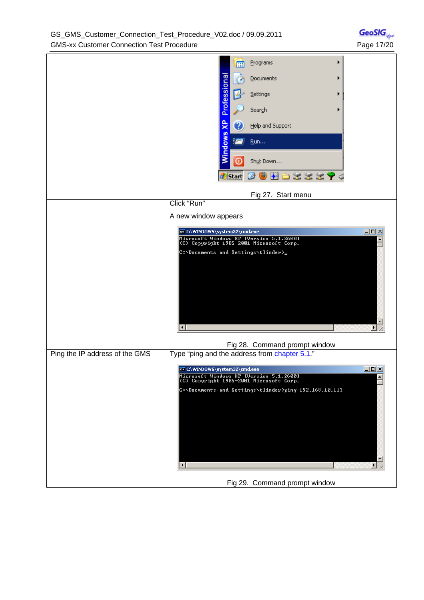|                                | Programs<br>▶<br>m<br>Professiona<br>Documents<br>▶<br>Settings<br>Search<br>ЖP<br>Help and Support<br>3<br>Windows<br>Ē<br>Run<br>$^\copyright$<br>Shut Down<br>Ð<br>$\frac{1}{2}$<br>ロボボボ ケぐ<br>d Start<br>Ø |
|--------------------------------|----------------------------------------------------------------------------------------------------------------------------------------------------------------------------------------------------------------|
|                                | Fig 27. Start menu<br>Click "Run"                                                                                                                                                                              |
|                                | A new window appears                                                                                                                                                                                           |
|                                | $\Box$<br>@@C:\WINDOWS\system32\cmd.exe                                                                                                                                                                        |
|                                | Microsoft Windows XP [Version 5.1.2600]<br>(C) Copyright 1985-2001 Microsoft Corp.                                                                                                                             |
|                                | C:\Documents and Settings\tlinder>_<br>$\blacktriangleright$                                                                                                                                                   |
|                                | Fig 28. Command prompt window                                                                                                                                                                                  |
| Ping the IP address of the GMS | Type "ping and the address from chapter 5.1."                                                                                                                                                                  |
|                                | $L = 2$<br>@ C:\WINDOWS\system32\cmd.exe<br>Microsoft Windows XP [Version 5.1.2600]<br>CC) Copyright 1985-2001 Microsoft Corp.                                                                                 |
|                                | C:\Documents and Settings\tlinder>ping 192.168.10.113<br>P.                                                                                                                                                    |

Fig 29. Command prompt window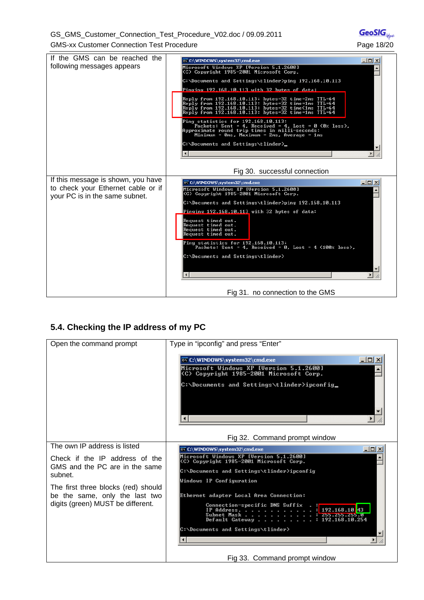GS\_GMS\_Customer\_Connection\_Test\_Procedure\_V02.doc / 09.09.2011 GMS-xx Customer Connection Test Procedure **Page 18/20** Page 18/20



### **5.4. Checking the IP address of my PC**

| Open the command prompt                   | Type in "ipconfig" and press "Enter"                                                                                               |
|-------------------------------------------|------------------------------------------------------------------------------------------------------------------------------------|
|                                           |                                                                                                                                    |
|                                           | $ \Box$ $\times$<br>EX C:\WINDOWS\system32\cmd.exe                                                                                 |
|                                           | Microsoft Windows XP [Version 5.1.2600]<br>(C) Copyright 1985-2001 Microsoft Corp.                                                 |
|                                           | C:\Documents and Settings\tlinder>ipconfig_                                                                                        |
|                                           |                                                                                                                                    |
|                                           | Fig 32. Command prompt window                                                                                                      |
| The own IP address is listed              | $ \Box$ $\times$<br>EX C:\WINDOWS\system32\cmd.exe                                                                                 |
| Check if the IP address of the            | Microsoft Windows XP [Version 5.1.2600]<br>(C) Copyright 1985-2001 Microsoft Corp.                                                 |
| GMS and the PC are in the same<br>subnet. | C:\Documents and Settings\tlinder>ipconfig                                                                                         |
|                                           | Windows IP Configuration                                                                                                           |
| The first three blocks (red) should       | Ethernet adapter Local Area Connection:                                                                                            |
| be the same, only the last two            |                                                                                                                                    |
| digits (green) MUST be different.         | Connection-specific DNS Suffix<br>IP Address.<br>192.168.10.43<br>Subnet Mask<br>255.Z55.Z55.0<br>Default Gateway : 192.168.10.254 |
|                                           | C:\Documents and Settings\tlinder>                                                                                                 |
|                                           |                                                                                                                                    |
|                                           | Eig 33 Command prompt window                                                                                                       |

Fig 33. Command prompt window

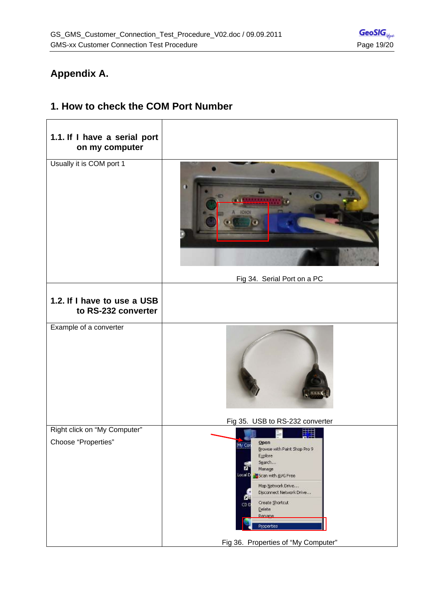# **Appendix A.**

# **1.1. If I have a serial port on my computer**  Usually it is COM port 1 Fig 34. Serial Port on a PC **1.2. If I have to use a USB to RS-232 converter**  Example of a converter Fig 35. USB to RS-232 converter Right click on "My Computer" 囯 Choose "Properties" Open My Cor Browse with Paint Shop Pro 9 Explore Search... ñ Manage LocalD Scan with AVG Free Map Network Drive... Disconnect Network Drive... Create Shortcut CD<sub>1</sub> Delete Rename Properties Fig 36. Properties of "My Computer"

# **1. How to check the COM Port Number**